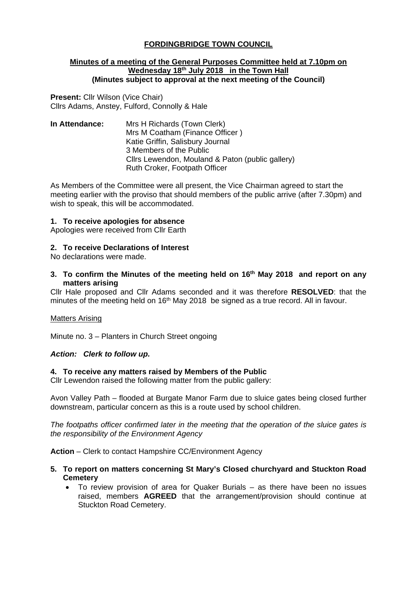# **FORDINGBRIDGE TOWN COUNCIL**

#### **Minutes of a meeting of the General Purposes Committee held at 7.10pm on Wednesday 18th July 2018 in the Town Hall (Minutes subject to approval at the next meeting of the Council)**

**Present:** Cllr Wilson (Vice Chair) Cllrs Adams, Anstey, Fulford, Connolly & Hale

**In Attendance:** Mrs H Richards (Town Clerk) Mrs M Coatham (Finance Officer ) Katie Griffin, Salisbury Journal 3 Members of the Public Cllrs Lewendon, Mouland & Paton (public gallery) Ruth Croker, Footpath Officer

As Members of the Committee were all present, the Vice Chairman agreed to start the meeting earlier with the proviso that should members of the public arrive (after 7.30pm) and wish to speak, this will be accommodated.

### **1. To receive apologies for absence**

Apologies were received from Cllr Earth

### **2. To receive Declarations of Interest**

No declarations were made.

**3. To confirm the Minutes of the meeting held on 16th May 2018 and report on any matters arising**

Cllr Hale proposed and Cllr Adams seconded and it was therefore **RESOLVED**: that the minutes of the meeting held on 16<sup>th</sup> May 2018 be signed as a true record. All in favour.

#### Matters Arising

Minute no. 3 – Planters in Church Street ongoing

#### *Action: Clerk to follow up.*

### **4. To receive any matters raised by Members of the Public**

Cllr Lewendon raised the following matter from the public gallery:

Avon Valley Path – flooded at Burgate Manor Farm due to sluice gates being closed further downstream, particular concern as this is a route used by school children.

*The footpaths officer confirmed later in the meeting that the operation of the sluice gates is the responsibility of the Environment Agency*

**Action** – Clerk to contact Hampshire CC/Environment Agency

- **5. To report on matters concerning St Mary's Closed churchyard and Stuckton Road Cemetery**
	- To review provision of area for Quaker Burials as there have been no issues raised, members **AGREED** that the arrangement/provision should continue at Stuckton Road Cemetery.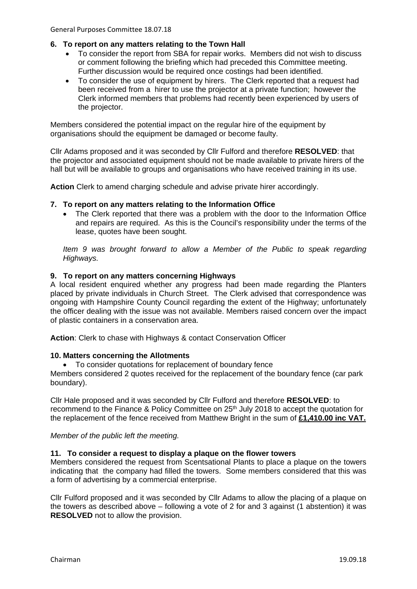# **6. To report on any matters relating to the Town Hall**

- To consider the report from SBA for repair works. Members did not wish to discuss or comment following the briefing which had preceded this Committee meeting. Further discussion would be required once costings had been identified.
- To consider the use of equipment by hirers. The Clerk reported that a request had been received from a hirer to use the projector at a private function; however the Clerk informed members that problems had recently been experienced by users of the projector.

Members considered the potential impact on the regular hire of the equipment by organisations should the equipment be damaged or become faulty.

Cllr Adams proposed and it was seconded by Cllr Fulford and therefore **RESOLVED**: that the projector and associated equipment should not be made available to private hirers of the hall but will be available to groups and organisations who have received training in its use.

**Action** Clerk to amend charging schedule and advise private hirer accordingly.

# **7. To report on any matters relating to the Information Office**

• The Clerk reported that there was a problem with the door to the Information Office and repairs are required. As this is the Council's responsibility under the terms of the lease, quotes have been sought.

*Item 9 was brought forward to allow a Member of the Public to speak regarding Highways.*

# **9. To report on any matters concerning Highways**

A local resident enquired whether any progress had been made regarding the Planters placed by private individuals in Church Street. The Clerk advised that correspondence was ongoing with Hampshire County Council regarding the extent of the Highway; unfortunately the officer dealing with the issue was not available. Members raised concern over the impact of plastic containers in a conservation area.

**Action**: Clerk to chase with Highways & contact Conservation Officer

# **10. Matters concerning the Allotments**

• To consider quotations for replacement of boundary fence

Members considered 2 quotes received for the replacement of the boundary fence (car park boundary).

Cllr Hale proposed and it was seconded by Cllr Fulford and therefore **RESOLVED**: to recommend to the Finance & Policy Committee on 25<sup>th</sup> July 2018 to accept the quotation for the replacement of the fence received from Matthew Bright in the sum of **£1,410.00 inc VAT.**

*Member of the public left the meeting.*

# **11. To consider a request to display a plaque on the flower towers**

Members considered the request from Scentsational Plants to place a plaque on the towers indicating that the company had filled the towers. Some members considered that this was a form of advertising by a commercial enterprise.

Cllr Fulford proposed and it was seconded by Cllr Adams to allow the placing of a plaque on the towers as described above – following a vote of 2 for and 3 against (1 abstention) it was **RESOLVED** not to allow the provision.